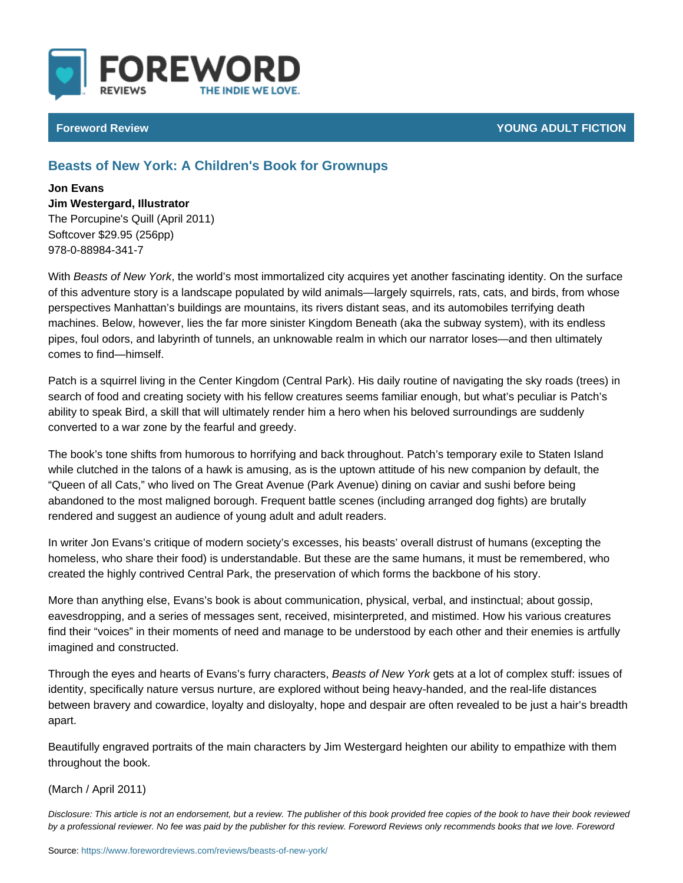## Foreword Review The Communication of the Communication of the Communication of the Communication of the Communication of the Communication of the Communication of the Communication of the Communication of the Communication

## Beasts of New York: A Children's Book for Grownups

Jon Evans Jim Westergard, Illustrator The Porcupine's Quill (April 2011) Softcover \$29.95 (256pp) 978-0-88984-341-7

WitBeasts of Ne,wth Yeon korld s most immortalized city acquires yet another fascin of this adventure story is a landscape populated by wild animals largely squirre perspectives Manhattan s buildings are mountains, its rivers distant seas, and machines. Below, however, lies the far more sinister Kingdom Beneath (aka the pipes, foul odors, and labyrinth of tunnels, an unknowable realm in which our n comes to find himself.

Patch is a squirrel living in the Center Kingdom (Central Park). His daily routin search of food and creating society with his fellow creatures seems familiar en ability to speak Bird, a skill that will ultimately render him a hero when his bel converted to a war zone by the fearful and greedy.

The book s tone shifts from humorous to horrifying and back throughout. Patch while clutched in the talons of a hawk is amusing, as is the uptown attitude of Queen of all Cats, who lived on The Great Avenue (Park Avenue) dining on ca abandoned to the most maligned borough. Frequent battle scenes (including arr rendered and suggest an audience of young adult and adult readers.

In writer Jon Evans s critique of modern society s excesses, his beasts overall homeless, who share their food) is understandable. But these are the same hum created the highly contrived Central Park, the preservation of which forms the I

More than anything else, Evans s book is about communication, physical, verba eavesdropping, and a series of messages sent, received, misinterpreted, and m find their voices in their moments of need and manage to be understood by ea imagined and constructed.

Through the eyes and hearts of EvanBseasformoof New angreanYorstnenkurts, a lot of complex stuff: identity, specifically nature versus nurture, are explored without being heavy-h between bravery and cowardice, loyalty and disloyalty, hope and despair are of apart.

Beautifully engraved portraits of the main characters by Jim Westergard heighten throughout the book.

## (March / April 2011)

Disclosure: This article is not an endorsement, but a review. The publisher of this book provided fr by a professional reviewer. No fee was paid by the publisher for this review. Foreword Reviews onl